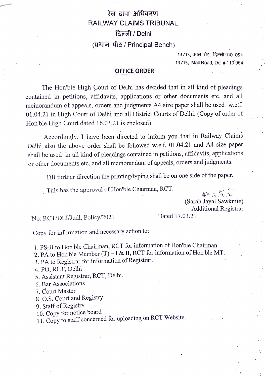## रेल दावा अधिकरण RAILWAY CLAIMS TRIBUNAL दिल्ली / Delhi (प्रधान पीठ / Principal Bench)

13/15, माल रोड, दिल्ली-110 054 13/15, Mall Road, Delhi-110 054

## OFFICE ORDER

The Hon'ble High Court of Dellhi has decided that in all kind of pleadings contained in petitions, affidavits, applications or other documents etc, and all memorandum of appeals, orders and judgments A4 size paper shall be used w.e.f. 01.04.21 in High Court of Delhi and all District Courts of Delhi. (Copy of order of Hon'ble High Court dated 16.03.21 is enclosed)

Accordingly, I have been directed to inform you that in Railway Claims Delhi also the above order shall be followed w.e.f. 01.04.21 and A4 size paper shall be used in all kind of pleadings contained in petitions, affidavits, applications or other documents etc, and all memorandum of appeals, orders and judgments.

Till further direction the printing/typing shall be on one side of the paper.

This has the approval of Hon'ble Chairman, RCT.

(Sarah Jayal Sawkmie) Additional Registrar<br>Dated 17.03.21

No. RCT/DLI/Judl. Policy/2021

Copy for information and necessary action to:

1. PS-II to Hon'ble Chairman, RCT for information of Hon'ble Chairman.

2. PA to Hon'ble Member  $(T) - I$  & II, RCT for information of Hon'ble MT.

3. PA to Registrar for information of Registrar.

4. PO, RCT, Delhi

5. Assistant Registrar, RCT, Delhi.

6. Bar Associations

7. Court Master

8. O.S. Court and Registry

9. Staff of Registry

10. Copy for notice board

11. Copy to staff concerned for uploading on RCT Website.